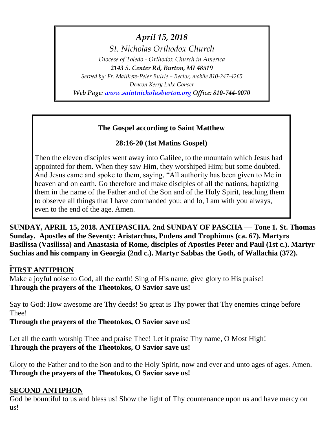*April 15, 2018*

*St. Nicholas Orthodox Church*

*Diocese of Toledo - Orthodox Church in America*

*2143 S. Center Rd, Burton, MI 48519 Served by: Fr. Matthew-Peter Butrie – Rector, mobile 810-247-4265 Deacon Kerry Luke Gonser*

*Web Page: [www.saintnicholasburton.org](http://www.saintnicholasburton.org/) Office: 810-744-0070*

## **The Gospel according to Saint Matthew**

# **28:16-20 (1st Matins Gospel)**

Then the eleven disciples went away into Galilee, to the mountain which Jesus had appointed for them. When they saw Him, they worshiped Him; but some doubted. And Jesus came and spoke to them, saying, "All authority has been given to Me in heaven and on earth. Go therefore and make disciples of all the nations, baptizing them in the name of the Father and of the Son and of the Holy Spirit, teaching them to observe all things that I have commanded you; and lo, I am with you always, even to the end of the age. Amen.

**SUNDAY, APRIL 15, 2018. ANTIPASCHA. 2nd SUNDAY OF PASCHA — Tone 1. St. Thomas Sunday. Apostles of the Seventy: Aristarchus, Pudens and Trophimus (ca. 67). Martyrs Basilissa (Vasilissa) and Anastasia of Rome, disciples of Apostles Peter and Paul (1st c.). Martyr Suchias and his company in Georgia (2nd c.). Martyr Sabbas the Goth, of Wallachia (372).** 

## **FIRST ANTIPHON**

Make a joyful noise to God, all the earth! Sing of His name, give glory to His praise! **Through the prayers of the Theotokos, O Savior save us!**

Say to God: How awesome are Thy deeds! So great is Thy power that Thy enemies cringe before Thee!

**Through the prayers of the Theotokos, O Savior save us!**

Let all the earth worship Thee and praise Thee! Let it praise Thy name, O Most High! **Through the prayers of the Theotokos, O Savior save us!**

Glory to the Father and to the Son and to the Holy Spirit, now and ever and unto ages of ages. Amen. **Through the prayers of the Theotokos, O Savior save us!**

## **SECOND ANTIPHON**

God be bountiful to us and bless us! Show the light of Thy countenance upon us and have mercy on us!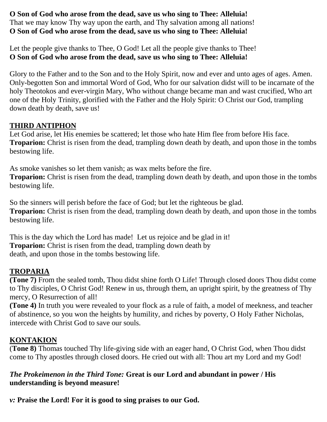### **O Son of God who arose from the dead, save us who sing to Thee: Alleluia!** That we may know Thy way upon the earth, and Thy salvation among all nations! **O Son of God who arose from the dead, save us who sing to Thee: Alleluia!**

Let the people give thanks to Thee, O God! Let all the people give thanks to Thee! **O Son of God who arose from the dead, save us who sing to Thee: Alleluia!**

Glory to the Father and to the Son and to the Holy Spirit, now and ever and unto ages of ages. Amen. Only-begotten Son and immortal Word of God, Who for our salvation didst will to be incarnate of the holy Theotokos and ever-virgin Mary, Who without change became man and wast crucified, Who art one of the Holy Trinity, glorified with the Father and the Holy Spirit: O Christ our God, trampling down death by death, save us!

## **THIRD ANTIPHON**

Let God arise, let His enemies be scattered; let those who hate Him flee from before His face. **Troparion:** Christ is risen from the dead, trampling down death by death, and upon those in the tombs bestowing life.

As smoke vanishes so let them vanish; as wax melts before the fire.

**Troparion:** Christ is risen from the dead, trampling down death by death, and upon those in the tombs bestowing life.

So the sinners will perish before the face of God; but let the righteous be glad. **Troparion:** Christ is risen from the dead, trampling down death by death, and upon those in the tombs bestowing life.

This is the day which the Lord has made! Let us rejoice and be glad in it! **Troparion:** Christ is risen from the dead, trampling down death by death, and upon those in the tombs bestowing life.

## **TROPARIA**

**(Tone 7)** From the sealed tomb, Thou didst shine forth O Life! Through closed doors Thou didst come to Thy disciples, O Christ God! Renew in us, through them, an upright spirit, by the greatness of Thy mercy, O Resurrection of all!

**(Tone 4)** In truth you were revealed to your flock as a rule of faith, a model of meekness, and teacher of abstinence, so you won the heights by humility, and riches by poverty, O Holy Father Nicholas, intercede with Christ God to save our souls.

## **KONTAKION**

(**Tone 8)** Thomas touched Thy life-giving side with an eager hand, O Christ God, when Thou didst come to Thy apostles through closed doors. He cried out with all: Thou art my Lord and my God!

## *The Prokeimenon in the Third Tone:* **Great is our Lord and abundant in power / His understanding is beyond measure!**

*v:* **Praise the Lord! For it is good to sing praises to our God.**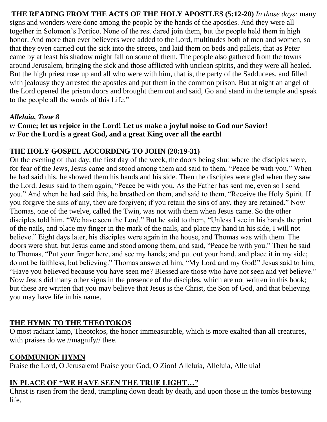**THE READING FROM THE ACTS OF THE HOLY APOSTLES (5:12-20)** *In those days:* many signs and wonders were done among the people by the hands of the apostles. And they were all together in Solomon's Portico. None of the rest dared join them, but the people held them in high honor. And more than ever believers were added to the Lord, multitudes both of men and women, so that they even carried out the sick into the streets, and laid them on beds and pallets, that as Peter came by at least his shadow might fall on some of them. The people also gathered from the towns around Jerusalem, bringing the sick and those afflicted with unclean spirits, and they were all healed. But the high priest rose up and all who were with him, that is, the party of the Sadducees, and filled with jealousy they arrested the apostles and put them in the common prison. But at night an angel of the Lord opened the prison doors and brought them out and said, Go and stand in the temple and speak to the people all the words of this Life."

## *Alleluia, Tone 8*

*v:* **Come; let us rejoice in the Lord! Let us make a joyful noise to God our Savior!** *v:* **For the Lord is a great God, and a great King over all the earth!**

## **THE HOLY GOSPEL ACCORDING TO JOHN (20:19-31)**

On the evening of that day, the first day of the week, the doors being shut where the disciples were, for fear of the Jews, Jesus came and stood among them and said to them, "Peace be with you." When he had said this, he showed them his hands and his side. Then the disciples were glad when they saw the Lord. Jesus said to them again, "Peace be with you. As the Father has sent me, even so I send you." And when he had said this, he breathed on them, and said to them, "Receive the Holy Spirit. If you forgive the sins of any, they are forgiven; if you retain the sins of any, they are retained." Now Thomas, one of the twelve, called the Twin, was not with them when Jesus came. So the other disciples told him, "We have seen the Lord." But he said to them, "Unless I see in his hands the print of the nails, and place my finger in the mark of the nails, and place my hand in his side, I will not believe." Eight days later, his disciples were again in the house, and Thomas was with them. The doors were shut, but Jesus came and stood among them, and said, "Peace be with you." Then he said to Thomas, "Put your finger here, and see my hands; and put out your hand, and place it in my side; do not be faithless, but believing." Thomas answered him, "My Lord and my God!" Jesus said to him, "Have you believed because you have seen me? Blessed are those who have not seen and yet believe." Now Jesus did many other signs in the presence of the disciples, which are not written in this book; but these are written that you may believe that Jesus is the Christ, the Son of God, and that believing you may have life in his name.

## **THE HYMN TO THE THEOTOKOS**

O most radiant lamp, Theotokos, the honor immeasurable, which is more exalted than all creatures, with praises do we //magnify// thee.

### **COMMUNION HYMN**

Praise the Lord, O Jerusalem! Praise your God, O Zion! Alleluia, Alleluia, Alleluia!

# **IN PLACE OF "WE HAVE SEEN THE TRUE LIGHT…"**

Christ is risen from the dead, trampling down death by death, and upon those in the tombs bestowing life.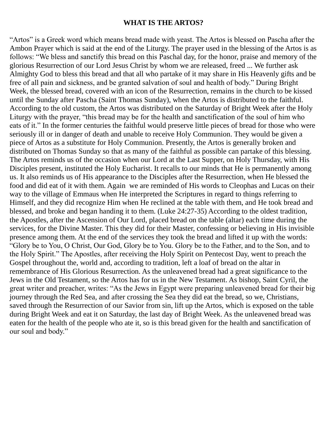### **WHAT IS THE ARTOS?**

"Artos" is a Greek word which means bread made with yeast. The Artos is blessed on Pascha after the Ambon Prayer which is said at the end of the Liturgy. The prayer used in the blessing of the Artos is as follows: "We bless and sanctify this bread on this Paschal day, for the honor, praise and memory of the glorious Resurrection of our Lord Jesus Christ by whom we are released, freed ... We further ask Almighty God to bless this bread and that all who partake of it may share in His Heavenly gifts and be free of all pain and sickness, and be granted salvation of soul and health of body." During Bright Week, the blessed bread, covered with an icon of the Resurrection, remains in the church to be kissed until the Sunday after Pascha (Saint Thomas Sunday), when the Artos is distributed to the faithful. According to the old custom, the Artos was distributed on the Saturday of Bright Week after the Holy Liturgy with the prayer, "this bread may be for the health and sanctification of the soul of him who eats of it." In the former centuries the faithful would preserve little pieces of bread for those who were seriously ill or in danger of death and unable to receive Holy Communion. They would be given a piece of Artos as a substitute for Holy Communion. Presently, the Artos is generally broken and distributed on Thomas Sunday so that as many of the faithful as possible can partake of this blessing. The Artos reminds us of the occasion when our Lord at the Last Supper, on Holy Thursday, with His Disciples present, instituted the Holy Eucharist. It recalls to our minds that He is permanently among us. It also reminds us of His appearance to the Disciples after the Resurrection, when He blessed the food and did eat of it with them. Again we are reminded of His words to Cleophas and Lucas on their way to the village of Emmaus when He interpreted the Scriptures in regard to things referring to Himself, and they did recognize Him when He reclined at the table with them, and He took bread and blessed, and broke and began handing it to them. (Luke 24:27-35) According to the oldest tradition, the Apostles, after the Ascension of Our Lord, placed bread on the table (altar) each time during the services, for the Divine Master. This they did for their Master, confessing or believing in His invisible presence among them. At the end of the services they took the bread and lifted it up with the words: "Glory be to You, O Christ, Our God, Glory be to You. Glory be to the Father, and to the Son, and to the Holy Spirit." The Apostles, after receiving the Holy Spirit on Pentecost Day, went to preach the Gospel throughout the, world and, according to tradition, left a loaf of bread on the altar in remembrance of His Glorious Resurrection. As the unleavened bread had a great significance to the Jews in the Old Testament, so the Artos has for us in the New Testament. As bishop, Saint Cyril, the great writer and preacher, writes: "As the Jews in Egypt were preparing unleavened bread for their big journey through the Red Sea, and after crossing the Sea they did eat the bread, so we, Christians, saved through the Resurrection of our Savior from sin, lift up the Artos, which is exposed on the table during Bright Week and eat it on Saturday, the last day of Bright Week. As the unleavened bread was eaten for the health of the people who ate it, so is this bread given for the health and sanctification of our soul and body."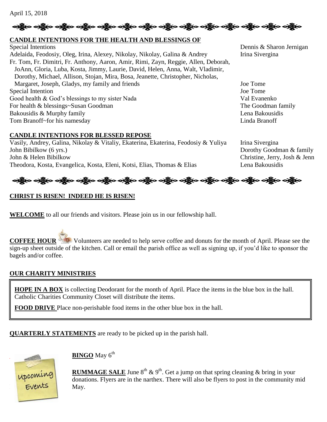April 15, 2018

# ဆိုပြီးစ ဝတ္ထိုးဝ ဝတ္ထိုးဝ ဝတ္ထိုးဝ ဝတ္ထိုးဝ ဝတ္ထိုးဝ ဝတ္ထိုးဝ ဝတ္ထိုးဝ ဝတ္ထိုးဝ ဝတ္ထိုးဝ ဝတ္ထိုးဝ ဝတ္ထိုးဝ

#### **CANDLE INTENTIONS FOR THE HEALTH AND BLESSINGS OF**

Special Intentions Dennis & Sharon Jernigan Adelaida, Feodosiy, Oleg, Irina, Alexey, Nikolay, Nikolay, Galina & Andrey Irina Sivergina Fr. Tom, Fr. Dimitri, Fr. Anthony, Aaron, Amir, Rimi, Zayn, Reggie, Allen, Deborah, JoAnn, Gloria, Luba, Kosta, Jimmy, Laurie, David, Helen, Anna, Walt, Vladimir, Dorothy, Michael, Allison, Stojan, Mira, Bosa, Jeanette, Christopher, Nicholas, Margaret, Joseph, Gladys, my family and friends Joe Tome Special Intention Joe Tome Good health & God's blessings to my sister Nada Val Evanenko For health & blessings~Susan Goodman The Goodman The Goodman family Bakousidis & Murphy family **Exercise 2.1 and 2.1 and 2.1 and 2.1 and 2.1 and 2.1 and 2.1 and 2.1 and 2.1 and 2.1 and 2.1 and 2.1 and 2.1 and 2.1 and 2.1 and 2.1 and 2.1 and 2.1 and 2.1 and 2.1 and 2.1 and 2.1 and 2.1 and 2** Tom Branoff~for his namesday Linda Branoff

#### **CANDLE INTENTIONS FOR BLESSED REPOSE**

Vasily, Andrey, Galina, Nikolay & Vitaliy, Ekaterina, Ekaterina, Feodosiy & Yuliya Irina Sivergina John Bibilkow (6 yrs.) Dorothy Goodman & family John & Helen Bibilkow Christine, Jerry, Josh & Jenn Theodora, Kosta, Evangelica, Kosta, Eleni, Kotsi, Elias, Thomas & Elias Lena Bakousidis



### **CHRIST IS RISEN! INDEED HE IS RISEN!**

**WELCOME** to all our friends and visitors. Please join us in our fellowship hall.

**COFFEE HOUR** Volunteers are needed to help serve coffee and donuts for the month of April. Please see the sign-up sheet outside of the kitchen. Call or email the parish office as well as signing up, if you'd like to sponsor the bagels and/or coffee.

### **OUR CHARITY MINISTRIES**

**HOPE IN A BOX** is collecting Deodorant for the month of April. Place the items in the blue box in the hall. Catholic Charities Community Closet will distribute the items.

**FOOD DRIVE** Place non-perishable food items in the other blue box in the hall.

**QUARTERLY STATEMENTS** are ready to be picked up in the parish hall.



**BINGO** May 6<sup>th</sup>

**RUMMAGE SALE** June  $8^{th}$  &  $9^{th}$ . Get a jump on that spring cleaning & bring in your donations. Flyers are in the narthex. There will also be flyers to post in the community mid